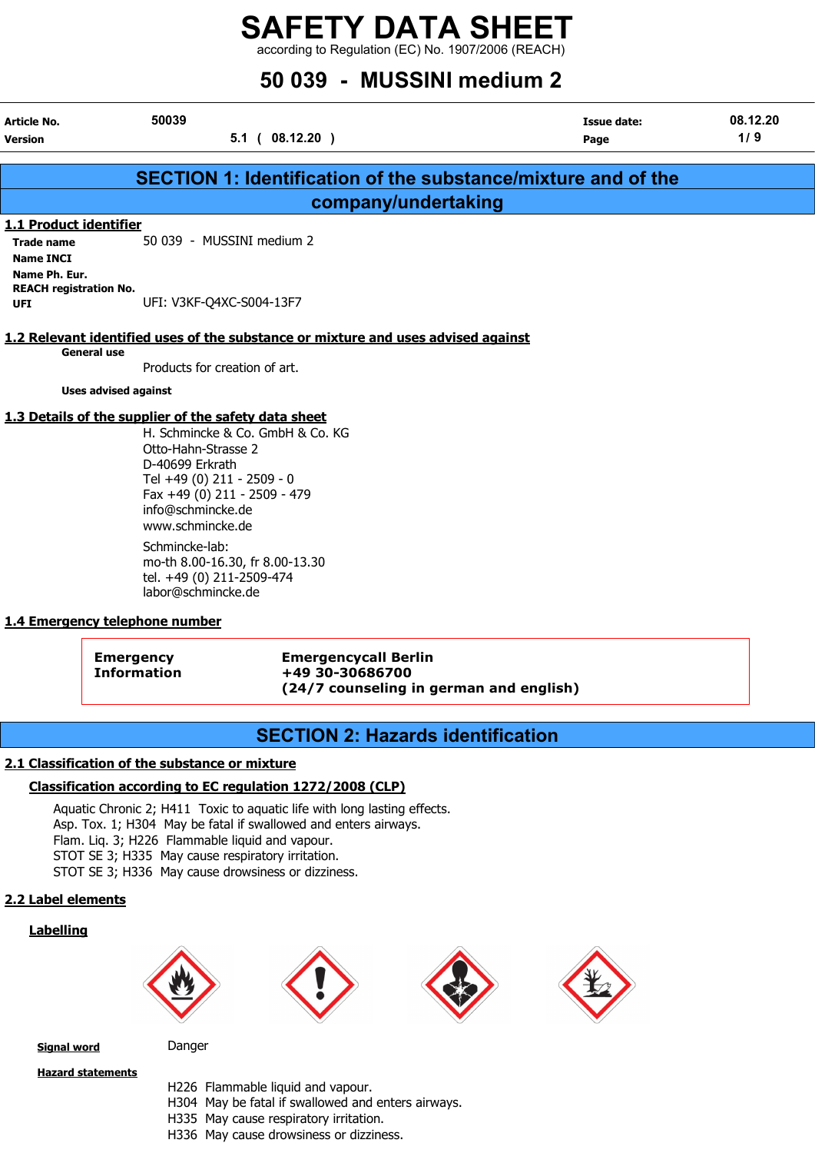according to Regulation (EC) No. 1907/2006 (REACH)

## 50 039 - MUSSINI medium 2

| Article No.<br>Version                                       | 50039<br>$5.1$ ( 08.12.20 )                                                                                                                                                                                                               | <b>Issue date:</b><br>Page | 08.12.20<br>1/9 |
|--------------------------------------------------------------|-------------------------------------------------------------------------------------------------------------------------------------------------------------------------------------------------------------------------------------------|----------------------------|-----------------|
|                                                              |                                                                                                                                                                                                                                           |                            |                 |
|                                                              | SECTION 1: Identification of the substance/mixture and of the                                                                                                                                                                             |                            |                 |
|                                                              | company/undertaking                                                                                                                                                                                                                       |                            |                 |
| 1.1 Product identifier                                       |                                                                                                                                                                                                                                           |                            |                 |
| <b>Trade name</b><br><b>Name INCI</b>                        | 50 039 - MUSSINI medium 2                                                                                                                                                                                                                 |                            |                 |
| Name Ph. Eur.<br><b>REACH registration No.</b><br><b>UFI</b> | UFI: V3KF-Q4XC-S004-13F7                                                                                                                                                                                                                  |                            |                 |
|                                                              | 1.2 Relevant identified uses of the substance or mixture and uses advised against                                                                                                                                                         |                            |                 |
| <b>General use</b>                                           | Products for creation of art.                                                                                                                                                                                                             |                            |                 |
| <b>Uses advised against</b>                                  |                                                                                                                                                                                                                                           |                            |                 |
|                                                              | 1.3 Details of the supplier of the safety data sheet<br>H. Schmincke & Co. GmbH & Co. KG<br>Otto-Hahn-Strasse 2<br>D-40699 Erkrath<br>Tel +49 (0) 211 - 2509 - 0<br>Fax +49 (0) 211 - 2509 - 479<br>info@schmincke.de<br>www.schmincke.de |                            |                 |

Schmincke-lab: mo-th 8.00-16.30, fr 8.00-13.30 tel. +49 (0) 211-2509-474 labor@schmincke.de

#### 1.4 Emergency telephone number

Emergency Emergencycall Berlin Information +49 30-30686700 (24/7 counseling in german and english)

## SECTION 2: Hazards identification

#### 2.1 Classification of the substance or mixture

#### Classification according to EC regulation 1272/2008 (CLP)

Aquatic Chronic 2; H411 Toxic to aquatic life with long lasting effects. Asp. Tox. 1; H304 May be fatal if swallowed and enters airways. Flam. Liq. 3; H226 Flammable liquid and vapour. STOT SE 3; H335 May cause respiratory irritation. STOT SE 3; H336 May cause drowsiness or dizziness.

#### 2.2 Label elements

#### Labelling









Signal word Danger

Hazard statements

- - H226 Flammable liquid and vapour.
	- H304 May be fatal if swallowed and enters airways.
	- H335 May cause respiratory irritation.
	- H336 May cause drowsiness or dizziness.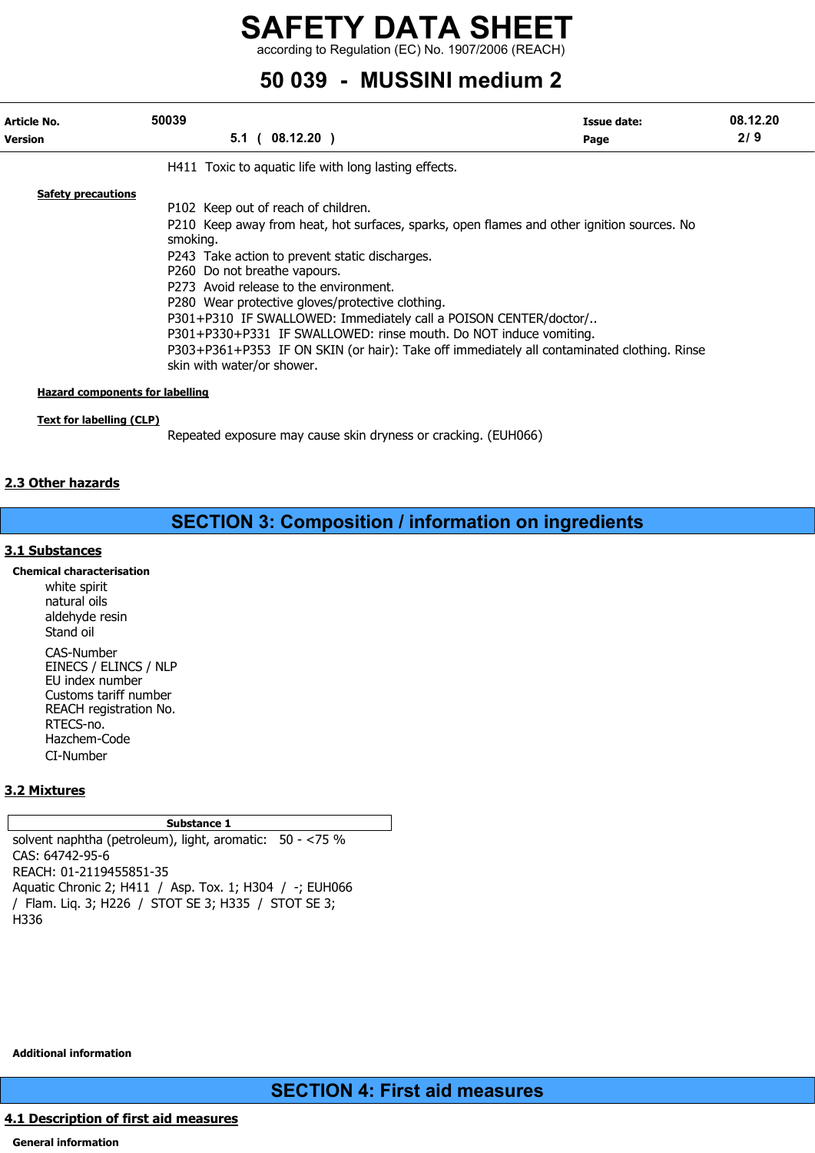according to Regulation (EC) No. 1907/2006 (REACH)

## 50 039 - MUSSINI medium 2

| Article No.<br><b>Version</b>                                       | 50039<br>$5.1$ ( 08.12.20 )                                                                                                                                                                                                                                                                                                                                                                                                                                                                                                                                                                        | Issue date:<br>Page | 08.12.20<br>2/9 |
|---------------------------------------------------------------------|----------------------------------------------------------------------------------------------------------------------------------------------------------------------------------------------------------------------------------------------------------------------------------------------------------------------------------------------------------------------------------------------------------------------------------------------------------------------------------------------------------------------------------------------------------------------------------------------------|---------------------|-----------------|
|                                                                     | H411 Toxic to aguatic life with long lasting effects.                                                                                                                                                                                                                                                                                                                                                                                                                                                                                                                                              |                     |                 |
| <b>Safety precautions</b><br><b>Hazard components for labelling</b> | P102 Keep out of reach of children.<br>P210 Keep away from heat, hot surfaces, sparks, open flames and other ignition sources. No<br>smoking.<br>P243 Take action to prevent static discharges.<br>P260 Do not breathe vapours.<br>P273 Avoid release to the environment.<br>P280 Wear protective gloves/protective clothing.<br>P301+P310 IF SWALLOWED: Immediately call a POISON CENTER/doctor/<br>P301+P330+P331 IF SWALLOWED: rinse mouth. Do NOT induce vomiting.<br>P303+P361+P353 IF ON SKIN (or hair): Take off immediately all contaminated clothing. Rinse<br>skin with water/or shower. |                     |                 |

#### Text for labelling (CLP)

Repeated exposure may cause skin dryness or cracking. (EUH066)

#### 2.3 Other hazards

### SECTION 3: Composition / information on ingredients

#### 3.1 Substances

Chemical characterisation white spirit natural oils aldehyde resin Stand oil CAS-Number EINECS / ELINCS / NLP EU index number Customs tariff number REACH registration No. RTECS-no. Hazchem-Code CI-Number

#### 3.2 Mixtures

#### Substance 1

solvent naphtha (petroleum), light, aromatic: 50 - <75 % CAS: 64742-95-6 REACH: 01-2119455851-35 Aquatic Chronic 2; H411 / Asp. Tox. 1; H304 / -; EUH066 / Flam. Liq. 3; H226 / STOT SE 3; H335 / STOT SE 3; H336

Additional information

SECTION 4: First aid measures

#### 4.1 Description of first aid measures

General information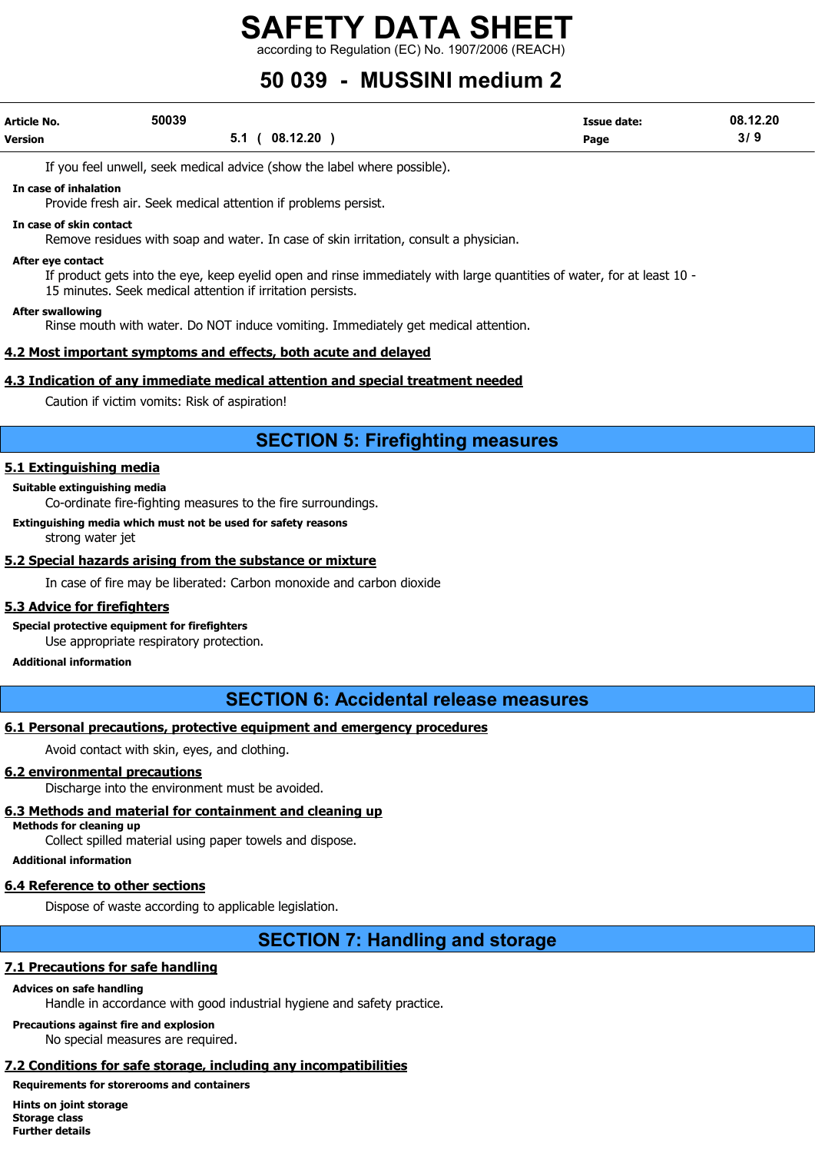according to Regulation (EC) No. 1907/2006 (REACH)

## 50 039 - MUSSINI medium 2

| Article No.    | 50039 |                 | <b>Issue date:</b> | 08.12.20 |
|----------------|-------|-----------------|--------------------|----------|
| <b>Version</b> |       | 08.12.20<br>5.1 | Page               | 3/9      |

If you feel unwell, seek medical advice (show the label where possible).

In case of inhalation

Provide fresh air. Seek medical attention if problems persist.

#### In case of skin contact

Remove residues with soap and water. In case of skin irritation, consult a physician.

#### After eye contact

If product gets into the eye, keep eyelid open and rinse immediately with large quantities of water, for at least 10 - 15 minutes. Seek medical attention if irritation persists.

#### After swallowing

Rinse mouth with water. Do NOT induce vomiting. Immediately get medical attention.

#### 4.2 Most important symptoms and effects, both acute and delayed

#### 4.3 Indication of any immediate medical attention and special treatment needed

Caution if victim vomits: Risk of aspiration!

## SECTION 5: Firefighting measures

#### 5.1 Extinguishing media

#### Suitable extinguishing media

Co-ordinate fire-fighting measures to the fire surroundings.

Extinguishing media which must not be used for safety reasons strong water jet

#### 5.2 Special hazards arising from the substance or mixture

In case of fire may be liberated: Carbon monoxide and carbon dioxide

#### 5.3 Advice for firefighters

Special protective equipment for firefighters

Use appropriate respiratory protection.

#### Additional information

## SECTION 6: Accidental release measures

#### 6.1 Personal precautions, protective equipment and emergency procedures

Avoid contact with skin, eyes, and clothing.

#### 6.2 environmental precautions

Discharge into the environment must be avoided.

#### 6.3 Methods and material for containment and cleaning up

Methods for cleaning up

Collect spilled material using paper towels and dispose.

Additional information

#### 6.4 Reference to other sections

Dispose of waste according to applicable legislation.

## SECTION 7: Handling and storage

#### 7.1 Precautions for safe handling

### Advices on safe handling

Handle in accordance with good industrial hygiene and safety practice.

#### Precautions against fire and explosion

No special measures are required.

## 7.2 Conditions for safe storage, including any incompatibilities

### Requirements for storerooms and containers

Hints on joint storage Storage class Further details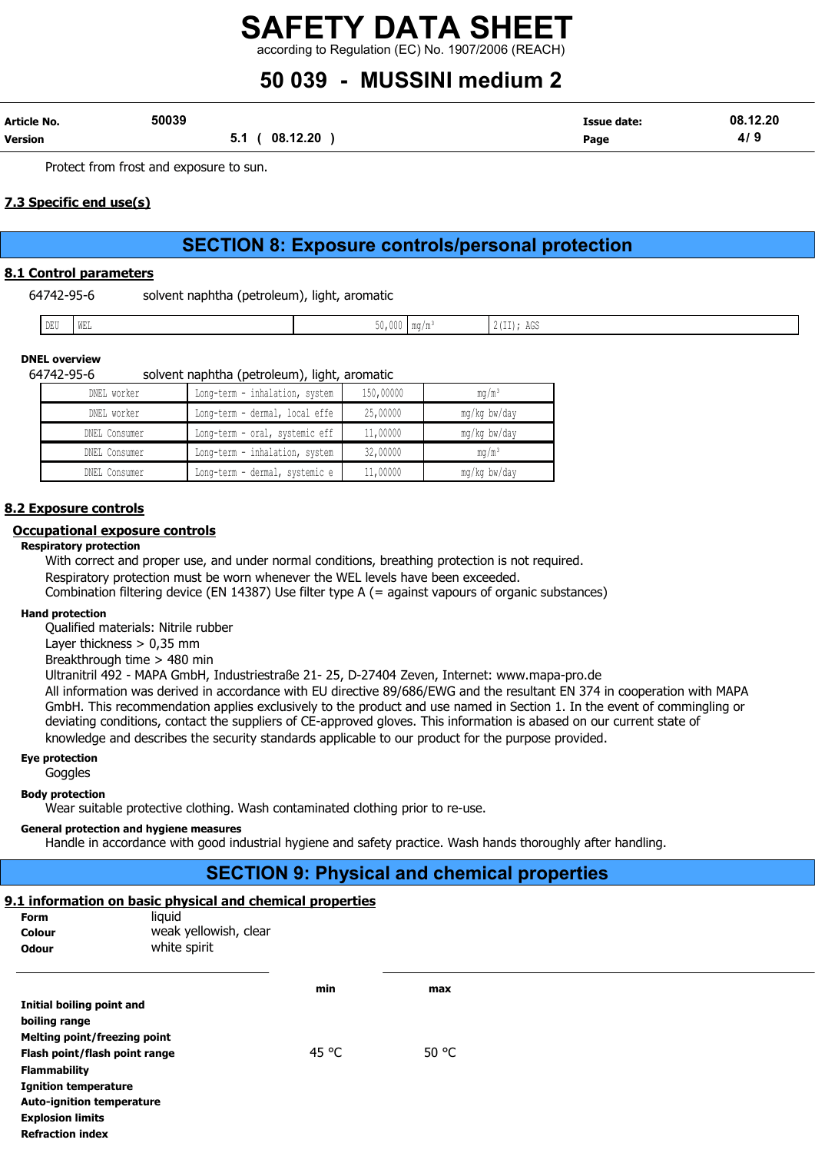## 50 039 - MUSSINI medium 2

| Article No.    | 50039 |                 | Issue date: | 08.12.20 |
|----------------|-------|-----------------|-------------|----------|
| <b>Version</b> |       | 08.12.20<br>v., | Page        | 41       |

Protect from frost and exposure to sun.

#### 7.3 Specific end use(s)

## SECTION 8: Exposure controls/personal protection

#### 8.1 Control parameters

64742-95-6 solvent naphtha (petroleum), light, aromatic

| DELL'<br>the property of the contract of the<br>300<br>WEL<br>AGD<br><b>DDC</b><br>.<br>. |  |
|-------------------------------------------------------------------------------------------|--|
|                                                                                           |  |

#### DNEL overview 64742-95-6 solvent naphtha (petroleum), light, aromatic

| 04742-93-0-                                                                                               | solvent naphtina (petroleum), light, aromatic |           |              |  |  |  |  |  |  |
|-----------------------------------------------------------------------------------------------------------|-----------------------------------------------|-----------|--------------|--|--|--|--|--|--|
| DNEL worker                                                                                               | Long-term - inhalation, system                | 150,00000 | ma/mª        |  |  |  |  |  |  |
| DNEL worker                                                                                               | ' Long-term - dermal, local effe              | 25,00000  | ma/ka bw/dav |  |  |  |  |  |  |
| $MMT$ $\uparrow$ $\uparrow$ $\downarrow$ $\downarrow$ $\downarrow$ $\downarrow$ $\downarrow$ $\downarrow$ | transportant and constructs and l             | 11 00000  |              |  |  |  |  |  |  |

| DNEL Consumer | Long-term - oral, systemic eff | 11,00000 | mg/kg bw/day    |
|---------------|--------------------------------|----------|-----------------|
| DNEL Consumer | Long-term - inhalation, system | 32,00000 | $\text{ma/m}^3$ |
| DNEL Consumer | Long-term - dermal, systemic e | 11,00000 | mg/kg bw/day    |

#### 8.2 Exposure controls

#### Occupational exposure controls

#### Respiratory protection

With correct and proper use, and under normal conditions, breathing protection is not required. Respiratory protection must be worn whenever the WEL levels have been exceeded. Combination filtering device (EN 14387) Use filter type A (= against vapours of organic substances)

#### Hand protection

Qualified materials: Nitrile rubber

Layer thickness > 0,35 mm

Breakthrough time > 480 min

Ultranitril 492 - MAPA GmbH, Industriestraße 21- 25, D-27404 Zeven, Internet: www.mapa-pro.de

All information was derived in accordance with EU directive 89/686/EWG and the resultant EN 374 in cooperation with MAPA GmbH. This recommendation applies exclusively to the product and use named in Section 1. In the event of commingling or deviating conditions, contact the suppliers of CE-approved gloves. This information is abased on our current state of knowledge and describes the security standards applicable to our product for the purpose provided.

#### Eye protection

Goggles

#### Body protection

Wear suitable protective clothing. Wash contaminated clothing prior to re-use.

#### General protection and hygiene measures

Melting point/freezing point

Flammability

Explosion limits Refraction index

Ignition temperature Auto-ignition temperature

Handle in accordance with good industrial hygiene and safety practice. Wash hands thoroughly after handling.

## SECTION 9: Physical and chemical properties

#### 9.1 information on basic physical and chemical properties

| <b>Form</b>               | liquid                |     |     |
|---------------------------|-----------------------|-----|-----|
| <b>Colour</b>             | weak yellowish, clear |     |     |
| <b>Odour</b>              | white spirit          |     |     |
|                           |                       |     |     |
|                           |                       | min | max |
| Initial boiling point and |                       |     |     |
| boiling range             |                       |     |     |

Flash point/flash point range  $45^{\circ}$ C 50  $^{\circ}$ C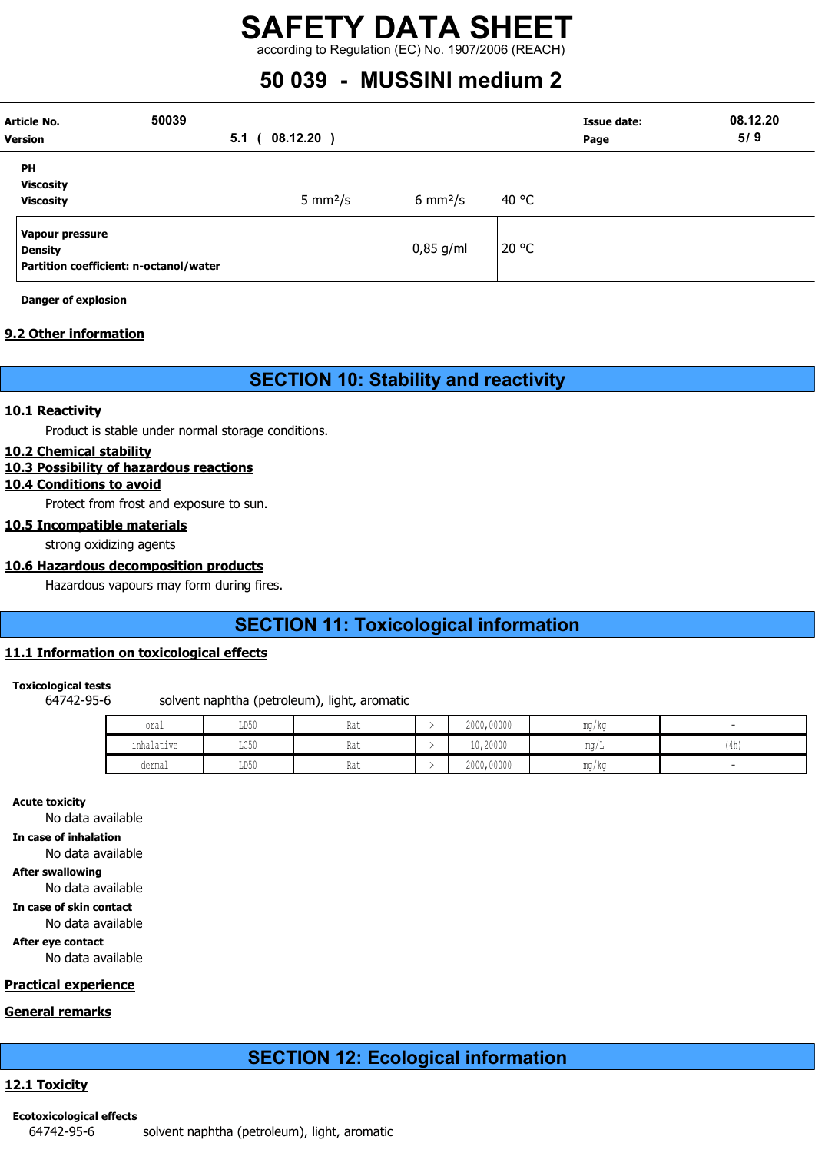## 50 039 - MUSSINI medium 2

| <b>Article No.</b><br><b>Version</b>              | 50039<br>5.1                           | $08.12.20$ )<br>$\sqrt{2}$ |                     |       | <b>Issue date:</b><br>Page | 08.12.20<br>5/9 |
|---------------------------------------------------|----------------------------------------|----------------------------|---------------------|-------|----------------------------|-----------------|
| <b>PH</b><br><b>Viscosity</b><br><b>Viscosity</b> |                                        | 5 mm $2/s$                 | $6 \text{ mm}^2$ /s | 40 °C |                            |                 |
| Vapour pressure<br><b>Density</b>                 | Partition coefficient: n-octanol/water |                            | $0,85$ g/ml         | 20 °C |                            |                 |

Danger of explosion

#### 9.2 Other information

### SECTION 10: Stability and reactivity

#### 10.1 Reactivity

Product is stable under normal storage conditions.

#### 10.2 Chemical stability

#### 10.3 Possibility of hazardous reactions

#### 10.4 Conditions to avoid

Protect from frost and exposure to sun.

#### 10.5 Incompatible materials

strong oxidizing agents

#### 10.6 Hazardous decomposition products

Hazardous vapours may form during fires.

## SECTION 11: Toxicological information

#### 11.1 Information on toxicological effects

#### Toxicological tests

64742-95-6 solvent naphtha (petroleum), light, aromatic

| oral            | LD50<br>$\sim$ $\sim$   | Rat | 2000,00000 | mg/kg                             |       |
|-----------------|-------------------------|-----|------------|-----------------------------------|-------|
| .<br>inhalative | $T \cap E \cap$<br>せいじい | Rat | 10,20000   | mg/L                              | (411) |
| dermal          | LD50                    | Rat | 2000,00000 | $\overline{\phantom{a}}$<br>mg/kg |       |

Acute toxicity

No data available

In case of inhalation

No data available

After swallowing

No data available

In case of skin contact

No data available

After eye contact

No data available

#### Practical experience

#### General remarks

## SECTION 12: Ecological information

#### 12.1 Toxicity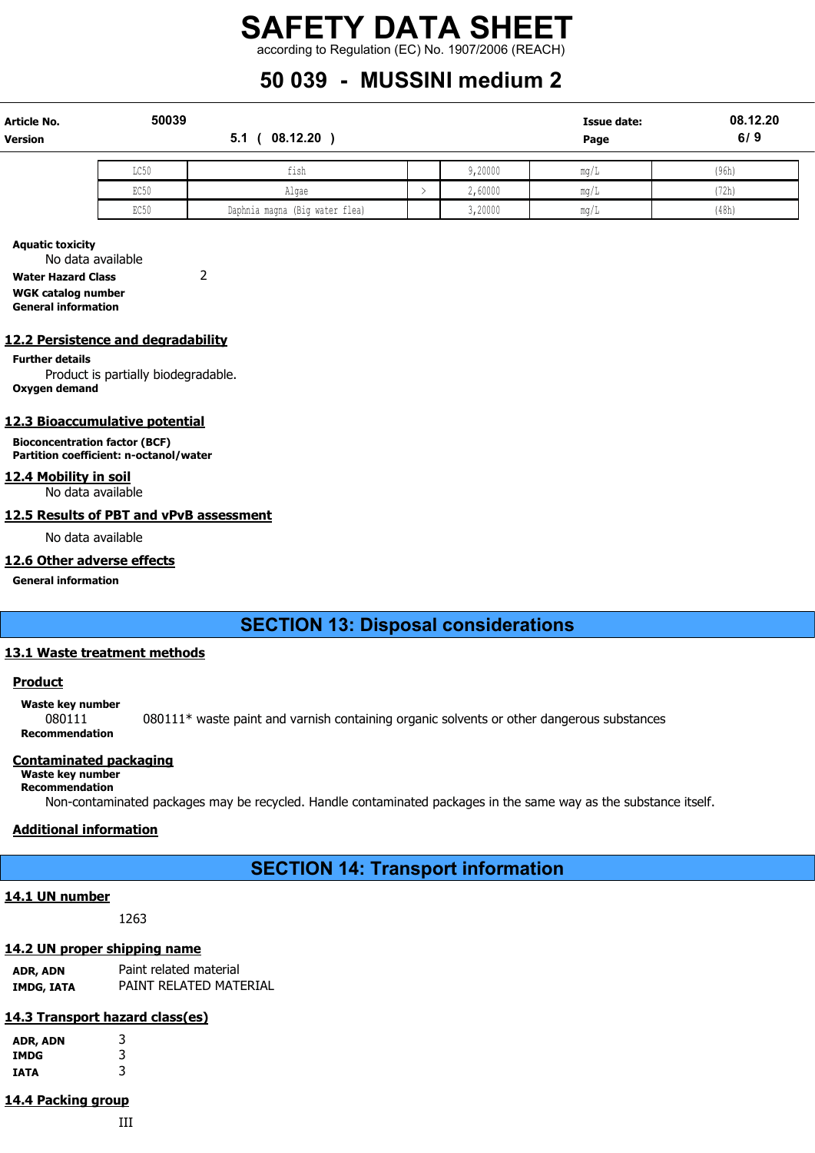## 50 039 - MUSSINI medium 2

| <b>Article No.</b><br><b>Version</b> | 50039 | 08.12.20<br>5.1                |         | Issue date:<br>Page | 08.12.20<br>6/9 |
|--------------------------------------|-------|--------------------------------|---------|---------------------|-----------------|
|                                      | LC50  | fish                           | 9,20000 | ma/L                | (96h)           |
|                                      | EC50  | Algae                          | 2,60000 | mq/L                | (72h)           |
|                                      | EC50  | Daphnia magna (Big water flea) | 3,20000 | mq/L                | (48h)           |

Aquatic toxicity No data available

Water Hazard Class 2

WGK catalog number General information

#### 12.2 Persistence and degradability

#### Further details

Product is partially biodegradable. Oxygen demand

#### 12.3 Bioaccumulative potential

Bioconcentration factor (BCF) Partition coefficient: n-octanol/water

#### 12.4 Mobility in soil

No data available

#### 12.5 Results of PBT and vPvB assessment

No data available

#### 12.6 Other adverse effects

General information

## SECTION 13: Disposal considerations

#### 13.1 Waste treatment methods

#### **Product**

Waste key number

080111 080111\* waste paint and varnish containing organic solvents or other dangerous substances Recommendation

#### Contaminated packaging

#### Waste key number Recommendation

Non-contaminated packages may be recycled. Handle contaminated packages in the same way as the substance itself.

#### Additional information

SECTION 14: Transport information

#### 14.1 UN number

1263

#### 14.2 UN proper shipping name

ADR, ADN Paint related material IMDG, IATA PAINT RELATED MATERIAL

#### 14.3 Transport hazard class(es)

| ADR, ADN | 3<br>3 |
|----------|--------|
| IMDG     |        |
| IATA     | 3      |

## 14.4 Packing group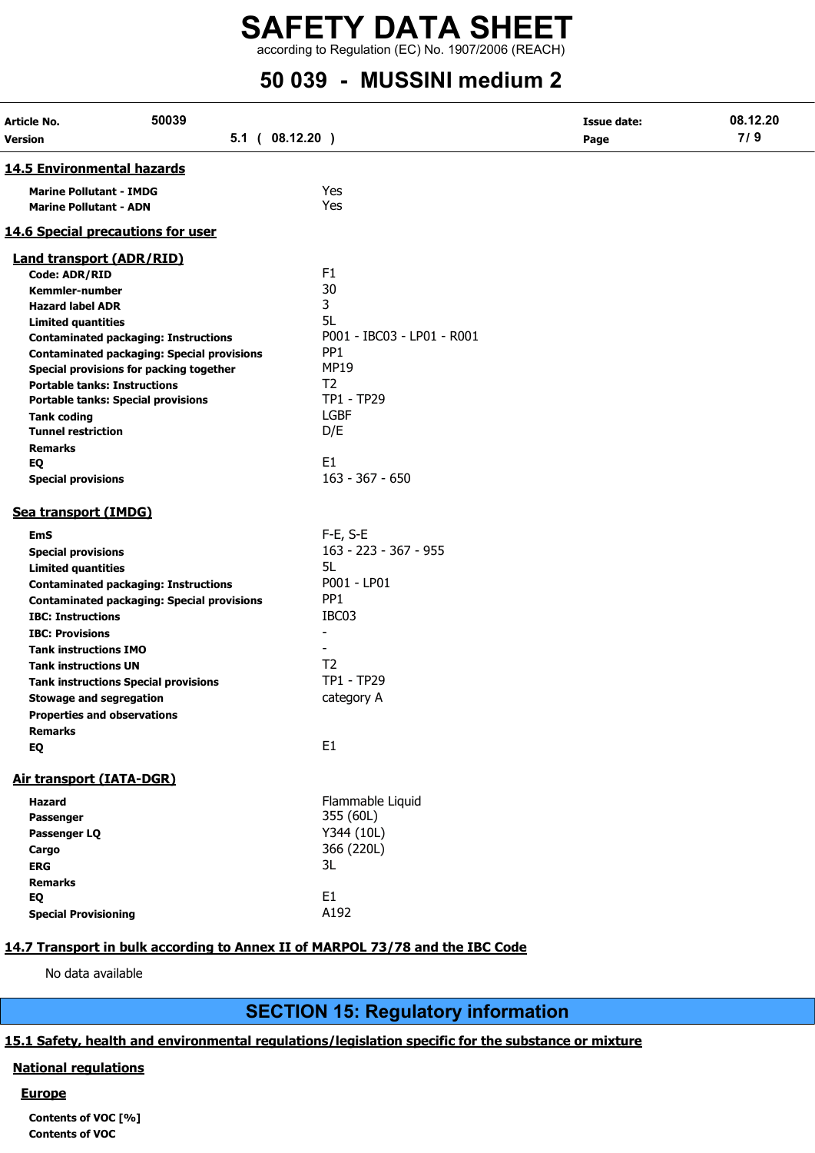## 50 039 - MUSSINI medium 2

| Article No.<br>Version                                          | 50039<br>$5.1$ ( $08.12.20$ )                     |                            | <b>Issue date:</b><br>Page | 08.12.20<br>7/9 |
|-----------------------------------------------------------------|---------------------------------------------------|----------------------------|----------------------------|-----------------|
| <b>14.5 Environmental hazards</b>                               |                                                   |                            |                            |                 |
| <b>Marine Pollutant - IMDG</b><br><b>Marine Pollutant - ADN</b> |                                                   | Yes<br>Yes                 |                            |                 |
|                                                                 | <b>14.6 Special precautions for user</b>          |                            |                            |                 |
| <b>Land transport (ADR/RID)</b>                                 |                                                   |                            |                            |                 |
| <b>Code: ADR/RID</b>                                            |                                                   | F <sub>1</sub>             |                            |                 |
| <b>Kemmler-number</b>                                           |                                                   | 30                         |                            |                 |
| <b>Hazard label ADR</b>                                         |                                                   | 3                          |                            |                 |
| <b>Limited quantities</b>                                       |                                                   | 5L                         |                            |                 |
|                                                                 | <b>Contaminated packaging: Instructions</b>       | P001 - IBC03 - LP01 - R001 |                            |                 |
|                                                                 | <b>Contaminated packaging: Special provisions</b> | PP <sub>1</sub>            |                            |                 |
|                                                                 | Special provisions for packing together           | <b>MP19</b>                |                            |                 |
| <b>Portable tanks: Instructions</b>                             |                                                   | T <sub>2</sub>             |                            |                 |
|                                                                 | <b>Portable tanks: Special provisions</b>         | <b>TP1 - TP29</b>          |                            |                 |
| <b>Tank coding</b>                                              |                                                   | <b>LGBF</b>                |                            |                 |
| <b>Tunnel restriction</b>                                       |                                                   | D/E                        |                            |                 |
| <b>Remarks</b>                                                  |                                                   |                            |                            |                 |
| EQ                                                              |                                                   | E1                         |                            |                 |
| <b>Special provisions</b>                                       |                                                   | $163 - 367 - 650$          |                            |                 |
| Sea transport (IMDG)                                            |                                                   |                            |                            |                 |
| EmS                                                             |                                                   | $F-E$ , S-E                |                            |                 |
| <b>Special provisions</b>                                       |                                                   | 163 - 223 - 367 - 955      |                            |                 |
| <b>Limited quantities</b>                                       |                                                   | 5L                         |                            |                 |
|                                                                 | <b>Contaminated packaging: Instructions</b>       | P001 - LP01                |                            |                 |
|                                                                 | <b>Contaminated packaging: Special provisions</b> | PP <sub>1</sub>            |                            |                 |
| <b>IBC: Instructions</b>                                        |                                                   | IBC03                      |                            |                 |
| <b>IBC: Provisions</b>                                          |                                                   | $\blacksquare$             |                            |                 |
| <b>Tank instructions IMO</b>                                    |                                                   |                            |                            |                 |
| <b>Tank instructions UN</b>                                     |                                                   | T <sub>2</sub>             |                            |                 |
|                                                                 | <b>Tank instructions Special provisions</b>       | TP1 - TP29                 |                            |                 |
| <b>Stowage and segregation</b>                                  |                                                   | category A                 |                            |                 |
| <b>Properties and observations</b>                              |                                                   |                            |                            |                 |
| <b>Remarks</b>                                                  |                                                   |                            |                            |                 |
| EQ                                                              |                                                   | E1                         |                            |                 |
| <b>Air transport (IATA-DGR)</b>                                 |                                                   |                            |                            |                 |
| <b>Hazard</b>                                                   |                                                   | Flammable Liquid           |                            |                 |
| Passenger                                                       |                                                   | 355 (60L)                  |                            |                 |
| Passenger LQ                                                    |                                                   | Y344 (10L)                 |                            |                 |
|                                                                 |                                                   | 366 (220L)                 |                            |                 |
| Cargo<br><b>ERG</b>                                             |                                                   | 3L                         |                            |                 |
| <b>Remarks</b>                                                  |                                                   |                            |                            |                 |
| EQ                                                              |                                                   | E <sub>1</sub>             |                            |                 |
| <b>Special Provisioning</b>                                     |                                                   | A192                       |                            |                 |
|                                                                 |                                                   |                            |                            |                 |

#### 14.7 Transport in bulk according to Annex II of MARPOL 73/78 and the IBC Code

No data available

## SECTION 15: Regulatory information

#### 15.1 Safety, health and environmental regulations/legislation specific for the substance or mixture

#### National regulations

#### **Europe**

Contents of VOC [%] Contents of VOC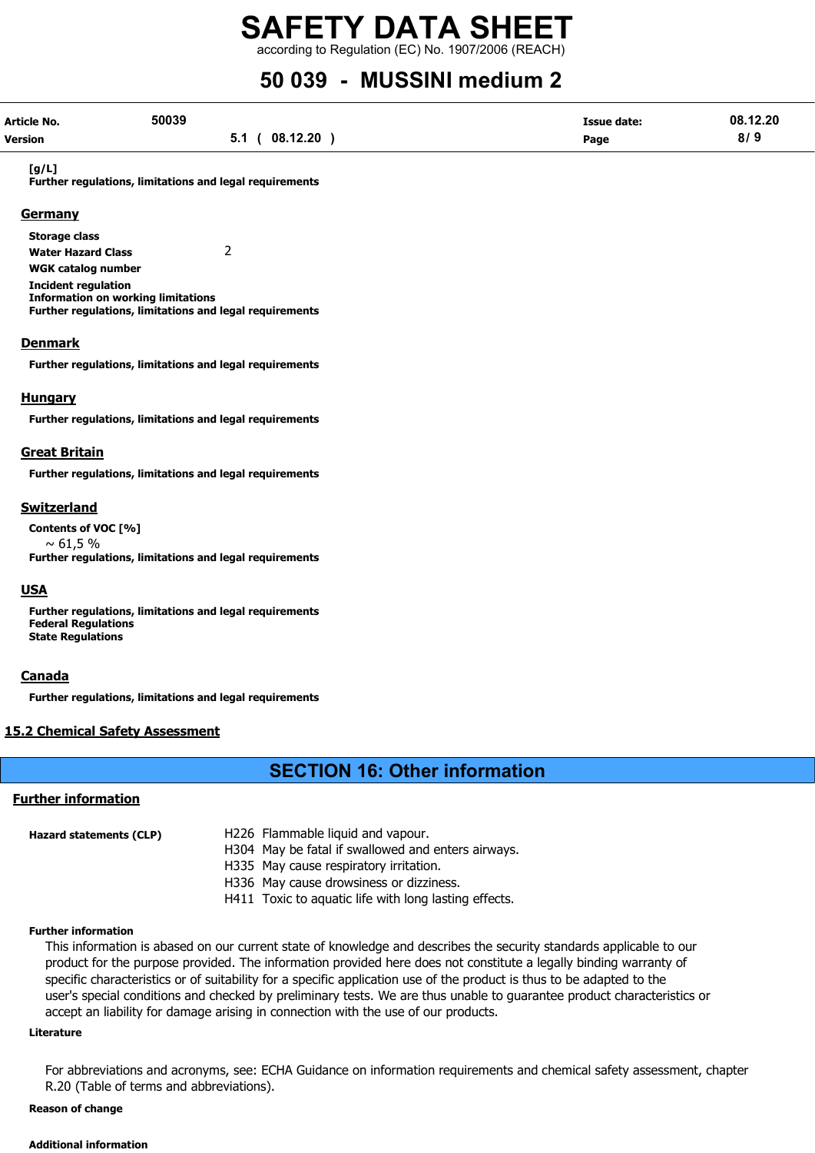according to Regulation (EC) No. 1907/2006 (REACH)

## 50 039 - MUSSINI medium 2

| Article No. | 50039 |                   | <b>Issue date:</b> | 08.12.20 |
|-------------|-------|-------------------|--------------------|----------|
| Version     |       | (08.12.20)<br>5.1 | Page               | 8/9      |

#### [g/L]

Further regulations, limitations and legal requirements

#### **Germany**

Storage class Water Hazard Class 2 WGK catalog number Incident regulation Information on working limitations Further regulations, limitations and legal requirements

#### **Denmark**

Further regulations, limitations and legal requirements

#### **Hungary**

Further regulations, limitations and legal requirements

#### Great Britain

Further regulations, limitations and legal requirements

#### Switzerland

Contents of VOC [%]  $\sim 61,5%$ Further regulations, limitations and legal requirements

#### **USA**

Further regulations, limitations and legal requirements Federal Regulations State Regulations

#### **Canada**

Further regulations, limitations and legal requirements

#### 15.2 Chemical Safety Assessment

#### SECTION 16: Other information

#### Further information

| Hazard statements (CLP) | H226 Flammable liquid and vapour.                     |
|-------------------------|-------------------------------------------------------|
|                         | H304 May be fatal if swallowed and enters airways.    |
|                         | H335 May cause respiratory irritation.                |
|                         | H336 May cause drowsiness or dizziness.               |
|                         | H411 Toxic to aquatic life with long lasting effects. |
|                         |                                                       |

#### Further information

This information is abased on our current state of knowledge and describes the security standards applicable to our product for the purpose provided. The information provided here does not constitute a legally binding warranty of specific characteristics or of suitability for a specific application use of the product is thus to be adapted to the user's special conditions and checked by preliminary tests. We are thus unable to guarantee product characteristics or accept an liability for damage arising in connection with the use of our products.

#### Literature

For abbreviations and acronyms, see: ECHA Guidance on information requirements and chemical safety assessment, chapter R.20 (Table of terms and abbreviations).

#### Reason of change

#### Additional information